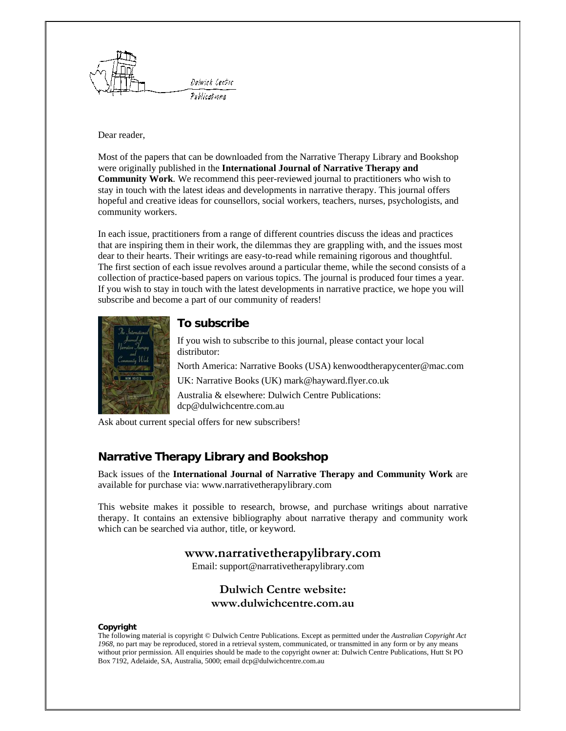

#### Dear reader,

 were originally published in the **International Journal of Narrative Therapy and Community Work***.* We recommend this peer-reviewed journal to practitioners who wish to Most of the papers that can be downloaded from the Narrative Therapy Library and Bookshop stay in touch with the latest ideas and developments in narrative therapy. This journal offers hopeful and creative ideas for counsellors, social workers, teachers, nurses, psychologists, and community workers.

 that are inspiring them in their work, the dilemmas they are grappling with, and the issues most The first section of each issue revolves around a particular theme, while the second consists of a If you wish to stay in touch with the latest developments in narrative practice, we hope you will In each issue, practitioners from a range of different countries discuss the ideas and practices dear to their hearts. Their writings are easy-to-read while remaining rigorous and thoughtful. collection of practice-based papers on various topics. The journal is produced four times a year. subscribe and become a part of our community of readers!



## **To subscribe**

If you wish to subscribe to this journal, please contact your local distributor:

North America: Narrative Books (USA) kenwoodtherapycenter@mac.com UK: Narrative Books (UK) mark@hayward.flyer.co.uk

Australia & elsewhere: Dulwich Centre Publications: dcp@dulwichcentre.com.au

Ask about current special offers for new subscribers!

# **Narrative Therapy Library and Bookshop**

Back issues of the **International Journal of Narrative Therapy and Community Work** are available for purchase via: www.narrativetherapylibrary.com

 which can be searched via author, title, or keyword. This website makes it possible to research, browse, and purchase writings about narrative therapy. It contains an extensive bibliography about narrative therapy and community work

# **www.narrativetherapylibrary.com**

Email: support@narrativetherapylibrary.com

# **Dulwich Centre website: www.dulwichcentre.com.au**

#### **Copyright**

 The following material is copyright © Dulwich Centre Publications. Except as permitted under the *Australian Copyright Act 1968*, no part may be reproduced, stored in a retrieval system, communicated, or transmitted in any form or by any means without prior permission. All enquiries should be made to the copyright owner at: Dulwich Centre Publications, Hutt St PO Box 7192, Adelaide, SA, Australia, 5000; email dcp@dulwichcentre.com.au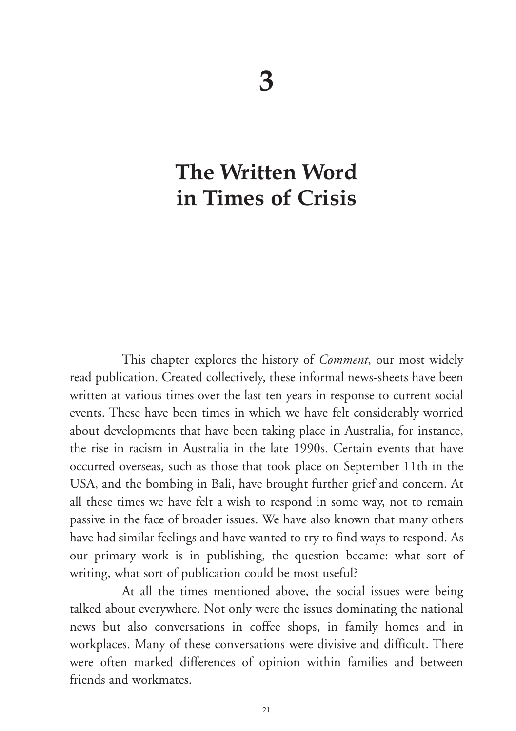# **The Written Word in Times of Crisis**

This chapter explores the history of *Comment*, our most widely read publication. Created collectively, these informal news-sheets have been written at various times over the last ten years in response to current social events. These have been times in which we have felt considerably worried about developments that have been taking place in Australia, for instance, the rise in racism in Australia in the late 1990s. Certain events that have occurred overseas, such as those that took place on September 11th in the USA, and the bombing in Bali, have brought further grief and concern. At all these times we have felt a wish to respond in some way, not to remain passive in the face of broader issues. We have also known that many others have had similar feelings and have wanted to try to find ways to respond. As our primary work is in publishing, the question became: what sort of writing, what sort of publication could be most useful?

At all the times mentioned above, the social issues were being talked about everywhere. Not only were the issues dominating the national news but also conversations in coffee shops, in family homes and in workplaces. Many of these conversations were divisive and difficult. There were often marked differences of opinion within families and between friends and workmates.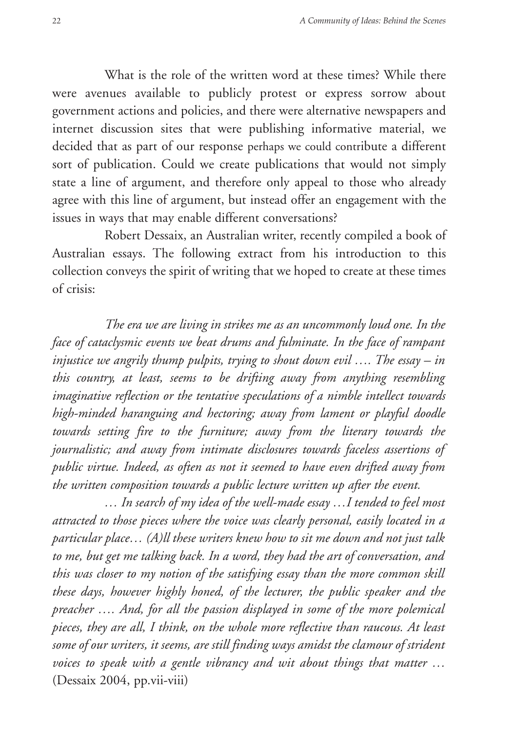What is the role of the written word at these times? While there were avenues available to publicly protest or express sorrow about government actions and policies, and there were alternative newspapers and internet discussion sites that were publishing informative material, we decided that as part of our response perhaps we could contribute a different sort of publication. Could we create publications that would not simply state a line of argument, and therefore only appeal to those who already agree with this line of argument, but instead offer an engagement with the issues in ways that may enable different conversations?

Robert Dessaix, an Australian writer, recently compiled a book of Australian essays. The following extract from his introduction to this collection conveys the spirit of writing that we hoped to create at these times of crisis:

*The era we are living in strikes me as an uncommonly loud one. In the face of cataclysmic events we beat drums and fulminate. In the face of rampant injustice we angrily thump pulpits, trying to shout down evil …. The essay – in this country, at least, seems to be drifting away from anything resembling imaginative reflection or the tentative speculations of a nimble intellect towards high-minded haranguing and hectoring; away from lament or playful doodle towards setting fire to the furniture; away from the literary towards the journalistic; and away from intimate disclosures towards faceless assertions of public virtue. Indeed, as often as not it seemed to have even drifted away from the written composition towards a public lecture written up after the event.* 

*… In search of my idea of the well-made essay …I tended to feel most attracted to those pieces where the voice was clearly personal, easily located in a particular place… (A)ll these writers knew how to sit me down and not just talk to me, but get me talking back. In a word, they had the art of conversation, and this was closer to my notion of the satisfying essay than the more common skill these days, however highly honed, of the lecturer, the public speaker and the preacher …. And, for all the passion displayed in some of the more polemical pieces, they are all, I think, on the whole more reflective than raucous. At least some of our writers, it seems, are still finding ways amidst the clamour of strident voices to speak with a gentle vibrancy and wit about things that matter …*  (Dessaix 2004, pp.vii-viii)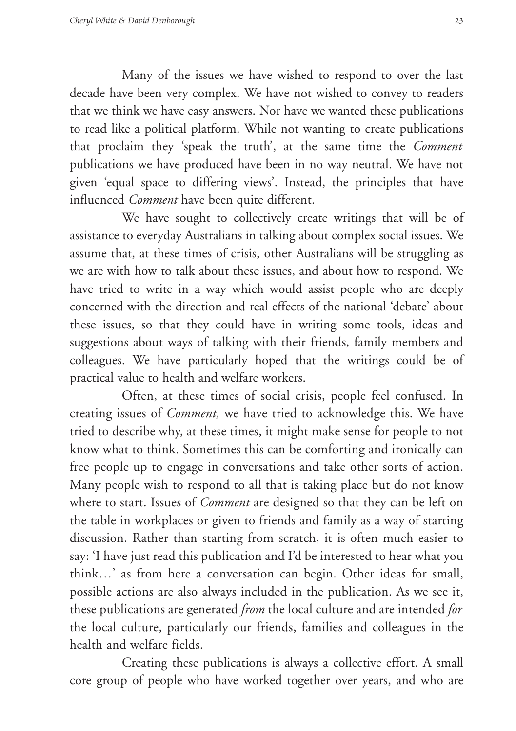Many of the issues we have wished to respond to over the last decade have been very complex. We have not wished to convey to readers that we think we have easy answers. Nor have we wanted these publications to read like a political platform. While not wanting to create publications that proclaim they 'speak the truth', at the same time the *Comment*  publications we have produced have been in no way neutral. We have not given 'equal space to differing views'. Instead, the principles that have influenced *Comment* have been quite different.

We have sought to collectively create writings that will be of assistance to everyday Australians in talking about complex social issues. We assume that, at these times of crisis, other Australians will be struggling as we are with how to talk about these issues, and about how to respond. We have tried to write in a way which would assist people who are deeply concerned with the direction and real effects of the national 'debate' about these issues, so that they could have in writing some tools, ideas and suggestions about ways of talking with their friends, family members and colleagues. We have particularly hoped that the writings could be of practical value to health and welfare workers.

Often, at these times of social crisis, people feel confused. In creating issues of *Comment,* we have tried to acknowledge this. We have tried to describe why, at these times, it might make sense for people to not know what to think. Sometimes this can be comforting and ironically can free people up to engage in conversations and take other sorts of action. Many people wish to respond to all that is taking place but do not know where to start. Issues of *Comment* are designed so that they can be left on the table in workplaces or given to friends and family as a way of starting discussion. Rather than starting from scratch, it is often much easier to say: 'I have just read this publication and I'd be interested to hear what you think…' as from here a conversation can begin. Other ideas for small, possible actions are also always included in the publication. As we see it, these publications are generated *from* the local culture and are intended *for*  the local culture, particularly our friends, families and colleagues in the health and welfare fields.

Creating these publications is always a collective effort. A small core group of people who have worked together over years, and who are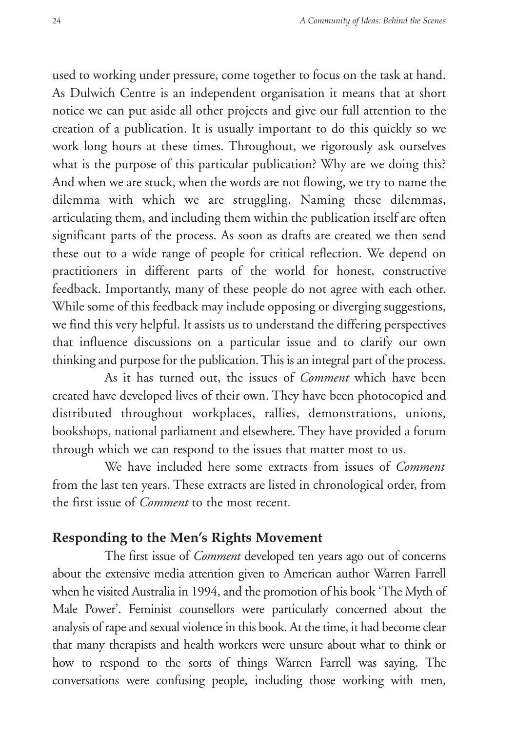used to working under pressure, come together to focus on the task at hand. As Dulwich Centre is an independent organisation it means that at short notice we can put aside all other projects and give our full attention to the creation of a publication. It is usually important to do this quickly so we work long hours at these times. Throughout, we rigorously ask ourselves what is the purpose of this particular publication? Why are we doing this? And when we are stuck, when the words are not flowing, we try to name the dilemma with which we are struggling. Naming these dilemmas, articulating them, and including them within the publication itself are often significant parts of the process. As soon as drafts are created we then send these out to a wide range of people for critical reflection. We depend on practitioners in different parts of the world for honest, constructive feedback. Importantly, many of these people do not agree with each other. While some of this feedback may include opposing or diverging suggestions, we find this very helpful. It assists us to understand the differing perspectives that influence discussions on a particular issue and to clarify our own thinking and purpose for the publication. This is an integral part of the process.

As it has turned out, the issues of *Comment* which have been created have developed lives of their own. They have been photocopied and distributed throughout workplaces, rallies, demonstrations, unions, bookshops, national parliament and elsewhere. They have provided a forum through which we can respond to the issues that matter most to us.

We have included here some extracts from issues of *Comment*  from the last ten years. These extracts are listed in chronological order, from the first issue of *Comment* to the most recent*.* 

#### **Responding to the Men's Rights Movement**

The first issue of *Comment* developed ten years ago out of concerns about the extensive media attention given to American author Warren Farrell when he visited Australia in 1994, and the promotion of his book 'The Myth of Male Power'. Feminist counsellors were particularly concerned about the analysis of rape and sexual violence in this book. At the time, it had become clear that many therapists and health workers were unsure about what to think or how to respond to the sorts of things Warren Farrell was saying. The conversations were confusing people, including those working with men,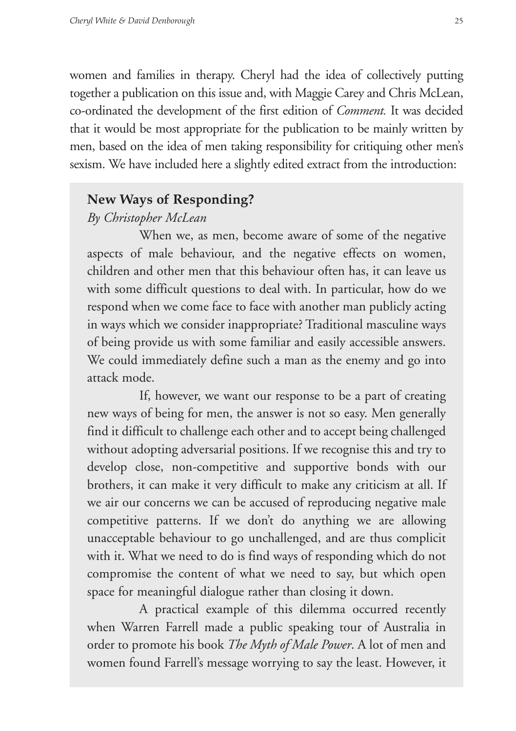women and families in therapy. Cheryl had the idea of collectively putting together a publication on this issue and, with Maggie Carey and Chris McLean, co-ordinated the development of the first edition of *Comment.* It was decided that it would be most appropriate for the publication to be mainly written by men, based on the idea of men taking responsibility for critiquing other men's sexism. We have included here a slightly edited extract from the introduction:

#### **New Ways of Responding?**

#### *By Christopher McLean*

When we, as men, become aware of some of the negative aspects of male behaviour, and the negative effects on women, children and other men that this behaviour often has, it can leave us with some difficult questions to deal with. In particular, how do we respond when we come face to face with another man publicly acting in ways which we consider inappropriate? Traditional masculine ways of being provide us with some familiar and easily accessible answers. We could immediately define such a man as the enemy and go into attack mode.

If, however, we want our response to be a part of creating new ways of being for men, the answer is not so easy. Men generally find it difficult to challenge each other and to accept being challenged without adopting adversarial positions. If we recognise this and try to develop close, non-competitive and supportive bonds with our brothers, it can make it very difficult to make any criticism at all. If we air our concerns we can be accused of reproducing negative male competitive patterns. If we don't do anything we are allowing unacceptable behaviour to go unchallenged, and are thus complicit with it. What we need to do is find ways of responding which do not compromise the content of what we need to say, but which open space for meaningful dialogue rather than closing it down.

A practical example of this dilemma occurred recently when Warren Farrell made a public speaking tour of Australia in order to promote his book *The Myth of Male Power*. A lot of men and women found Farrell's message worrying to say the least. However, it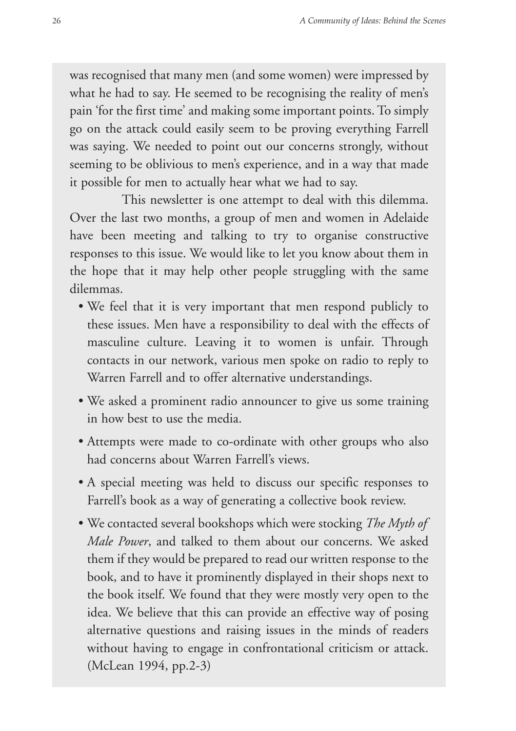was recognised that many men (and some women) were impressed by what he had to say. He seemed to be recognising the reality of men's pain 'for the first time' and making some important points. To simply go on the attack could easily seem to be proving everything Farrell was saying. We needed to point out our concerns strongly, without seeming to be oblivious to men's experience, and in a way that made it possible for men to actually hear what we had to say.

This newsletter is one attempt to deal with this dilemma. Over the last two months, a group of men and women in Adelaide have been meeting and talking to try to organise constructive responses to this issue. We would like to let you know about them in the hope that it may help other people struggling with the same dilemmas.

- We feel that it is very important that men respond publicly to these issues. Men have a responsibility to deal with the effects of masculine culture. Leaving it to women is unfair. Through contacts in our network, various men spoke on radio to reply to Warren Farrell and to offer alternative understandings.
- We asked a prominent radio announcer to give us some training in how best to use the media.
- Attempts were made to co-ordinate with other groups who also had concerns about Warren Farrell's views.
- A special meeting was held to discuss our specific responses to Farrell's book as a way of generating a collective book review.
- We contacted several bookshops which were stocking *The Myth of Male Power*, and talked to them about our concerns. We asked them if they would be prepared to read our written response to the book, and to have it prominently displayed in their shops next to the book itself. We found that they were mostly very open to the idea. We believe that this can provide an effective way of posing alternative questions and raising issues in the minds of readers without having to engage in confrontational criticism or attack. (McLean 1994, pp.2-3)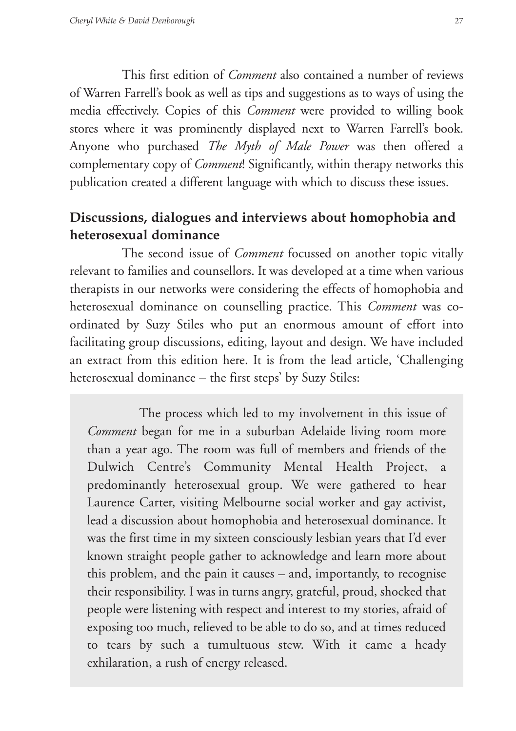This first edition of *Comment* also contained a number of reviews of Warren Farrell's book as well as tips and suggestions as to ways of using the media effectively. Copies of this *Comment* were provided to willing book stores where it was prominently displayed next to Warren Farrell's book. Anyone who purchased *The Myth of Male Power* was then offered a complementary copy of *Comment*! Significantly, within therapy networks this publication created a different language with which to discuss these issues.

# **Discussions, dialogues and interviews about homophobia and heterosexual dominance**

The second issue of *Comment* focussed on another topic vitally relevant to families and counsellors. It was developed at a time when various therapists in our networks were considering the effects of homophobia and heterosexual dominance on counselling practice. This *Comment* was coordinated by Suzy Stiles who put an enormous amount of effort into facilitating group discussions, editing, layout and design. We have included an extract from this edition here. It is from the lead article, 'Challenging heterosexual dominance – the first steps' by Suzy Stiles:

The process which led to my involvement in this issue of *Comment* began for me in a suburban Adelaide living room more than a year ago. The room was full of members and friends of the Dulwich Centre's Community Mental Health Project, a predominantly heterosexual group. We were gathered to hear Laurence Carter, visiting Melbourne social worker and gay activist, lead a discussion about homophobia and heterosexual dominance. It was the first time in my sixteen consciously lesbian years that I'd ever known straight people gather to acknowledge and learn more about this problem, and the pain it causes – and, importantly, to recognise their responsibility. I was in turns angry, grateful, proud, shocked that people were listening with respect and interest to my stories, afraid of exposing too much, relieved to be able to do so, and at times reduced to tears by such a tumultuous stew. With it came a heady exhilaration, a rush of energy released.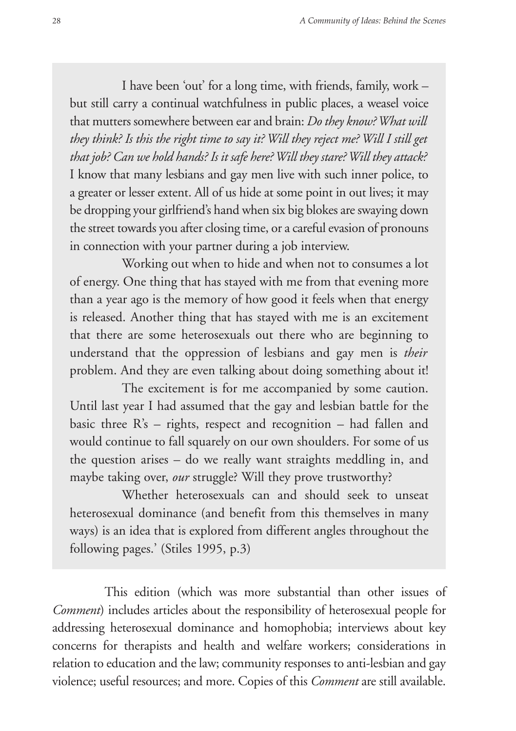I have been 'out' for a long time, with friends, family, work – but still carry a continual watchfulness in public places, a weasel voice that mutters somewhere between ear and brain: *Do they know? What will they think? Is this the right time to say it? Will they reject me? Will I still get that job? Can we hold hands? Is it safe here? Will they stare? Will they attack?*  I know that many lesbians and gay men live with such inner police, to a greater or lesser extent. All of us hide at some point in out lives; it may be dropping your girlfriend's hand when six big blokes are swaying down the street towards you after closing time, or a careful evasion of pronouns in connection with your partner during a job interview.

Working out when to hide and when not to consumes a lot of energy. One thing that has stayed with me from that evening more than a year ago is the memory of how good it feels when that energy is released. Another thing that has stayed with me is an excitement that there are some heterosexuals out there who are beginning to understand that the oppression of lesbians and gay men is *their*  problem. And they are even talking about doing something about it!

The excitement is for me accompanied by some caution. Until last year I had assumed that the gay and lesbian battle for the basic three R's – rights, respect and recognition – had fallen and would continue to fall squarely on our own shoulders. For some of us the question arises – do we really want straights meddling in, and maybe taking over, *our* struggle? Will they prove trustworthy?

Whether heterosexuals can and should seek to unseat heterosexual dominance (and benefit from this themselves in many ways) is an idea that is explored from different angles throughout the following pages.' (Stiles 1995, p.3)

This edition (which was more substantial than other issues of *Comment*) includes articles about the responsibility of heterosexual people for addressing heterosexual dominance and homophobia; interviews about key concerns for therapists and health and welfare workers; considerations in relation to education and the law; community responses to anti-lesbian and gay violence; useful resources; and more. Copies of this *Comment* are still available.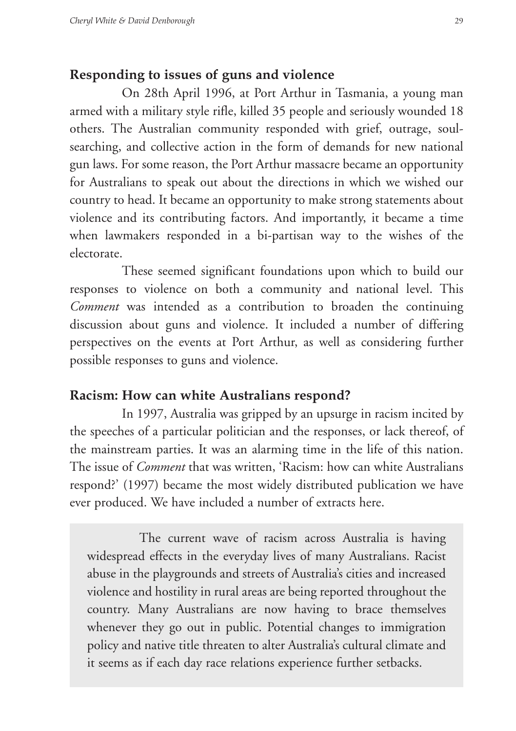## **Responding to issues of guns and violence**

On 28th April 1996, at Port Arthur in Tasmania, a young man armed with a military style rifle, killed 35 people and seriously wounded 18 others. The Australian community responded with grief, outrage, soulsearching, and collective action in the form of demands for new national gun laws. For some reason, the Port Arthur massacre became an opportunity for Australians to speak out about the directions in which we wished our country to head. It became an opportunity to make strong statements about violence and its contributing factors. And importantly, it became a time when lawmakers responded in a bi-partisan way to the wishes of the electorate.

These seemed significant foundations upon which to build our responses to violence on both a community and national level. This *Comment* was intended as a contribution to broaden the continuing discussion about guns and violence. It included a number of differing perspectives on the events at Port Arthur, as well as considering further possible responses to guns and violence.

#### **Racism: How can white Australians respond?**

In 1997, Australia was gripped by an upsurge in racism incited by the speeches of a particular politician and the responses, or lack thereof, of the mainstream parties. It was an alarming time in the life of this nation. The issue of *Comment* that was written, 'Racism: how can white Australians respond?' (1997) became the most widely distributed publication we have ever produced. We have included a number of extracts here.

The current wave of racism across Australia is having widespread effects in the everyday lives of many Australians. Racist abuse in the playgrounds and streets of Australia's cities and increased violence and hostility in rural areas are being reported throughout the country. Many Australians are now having to brace themselves whenever they go out in public. Potential changes to immigration policy and native title threaten to alter Australia's cultural climate and it seems as if each day race relations experience further setbacks.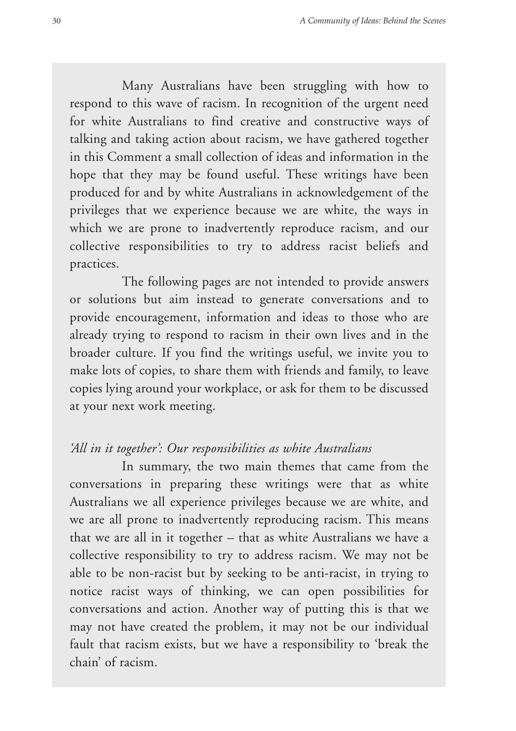Many Australians have been struggling with how to respond to this wave of racism. In recognition of the urgent need for white Australians to find creative and constructive ways of talking and taking action about racism, we have gathered together in this Comment a small collection of ideas and information in the hope that they may be found useful. These writings have been produced for and by white Australians in acknowledgement of the privileges that we experience because we are white, the ways in which we are prone to inadvertently reproduce racism, and our collective responsibilities to try to address racist beliefs and practices.

The following pages are not intended to provide answers or solutions but aim instead to generate conversations and to provide encouragement, information and ideas to those who are already trying to respond to racism in their own lives and in the broader culture. If you find the writings useful, we invite you to make lots of copies, to share them with friends and family, to leave copies lying around your workplace, or ask for them to be discussed at your next work meeting.

#### *'All in it together': Our responsibilities as white Australians*

In summary, the two main themes that came from the conversations in preparing these writings were that as white Australians we all experience privileges because we are white, and we are all prone to inadvertently reproducing racism. This means that we are all in it together – that as white Australians we have a collective responsibility to try to address racism. We may not be able to be non-racist but by seeking to be anti-racist, in trying to notice racist ways of thinking, we can open possibilities for conversations and action. Another way of putting this is that we may not have created the problem, it may not be our individual fault that racism exists, but we have a responsibility to 'break the chain' of racism.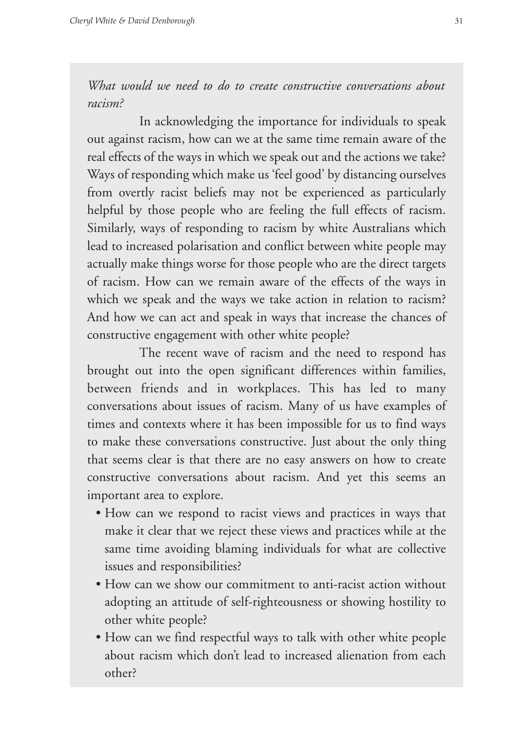*What would we need to do to create constructive conversations about racism?* 

In acknowledging the importance for individuals to speak out against racism, how can we at the same time remain aware of the real effects of the ways in which we speak out and the actions we take? Ways of responding which make us 'feel good' by distancing ourselves from overtly racist beliefs may not be experienced as particularly helpful by those people who are feeling the full effects of racism. Similarly, ways of responding to racism by white Australians which lead to increased polarisation and conflict between white people may actually make things worse for those people who are the direct targets of racism. How can we remain aware of the effects of the ways in which we speak and the ways we take action in relation to racism? And how we can act and speak in ways that increase the chances of constructive engagement with other white people?

The recent wave of racism and the need to respond has brought out into the open significant differences within families, between friends and in workplaces. This has led to many conversations about issues of racism. Many of us have examples of times and contexts where it has been impossible for us to find ways to make these conversations constructive. Just about the only thing that seems clear is that there are no easy answers on how to create constructive conversations about racism. And yet this seems an important area to explore.

- How can we respond to racist views and practices in ways that make it clear that we reject these views and practices while at the same time avoiding blaming individuals for what are collective issues and responsibilities?
- How can we show our commitment to anti-racist action without adopting an attitude of self-righteousness or showing hostility to other white people?
- How can we find respectful ways to talk with other white people about racism which don't lead to increased alienation from each other?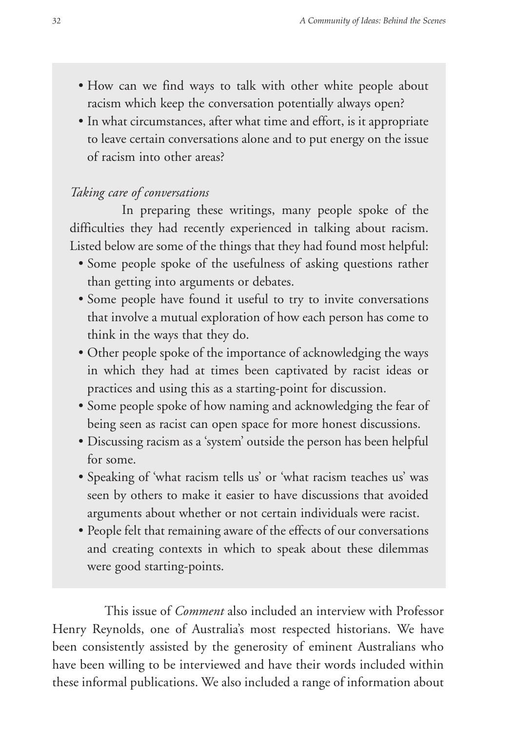- How can we find ways to talk with other white people about racism which keep the conversation potentially always open?
- In what circumstances, after what time and effort, is it appropriate to leave certain conversations alone and to put energy on the issue of racism into other areas?

#### *Taking care of conversations*

In preparing these writings, many people spoke of the difficulties they had recently experienced in talking about racism. Listed below are some of the things that they had found most helpful:

- Some people spoke of the usefulness of asking questions rather than getting into arguments or debates.
- Some people have found it useful to try to invite conversations that involve a mutual exploration of how each person has come to think in the ways that they do.
- Other people spoke of the importance of acknowledging the ways in which they had at times been captivated by racist ideas or practices and using this as a starting-point for discussion.
- Some people spoke of how naming and acknowledging the fear of being seen as racist can open space for more honest discussions.
- Discussing racism as a 'system' outside the person has been helpful for some.
- Speaking of 'what racism tells us' or 'what racism teaches us' was seen by others to make it easier to have discussions that avoided arguments about whether or not certain individuals were racist.
- People felt that remaining aware of the effects of our conversations and creating contexts in which to speak about these dilemmas were good starting-points.

This issue of *Comment* also included an interview with Professor Henry Reynolds, one of Australia's most respected historians. We have been consistently assisted by the generosity of eminent Australians who have been willing to be interviewed and have their words included within these informal publications. We also included a range of information about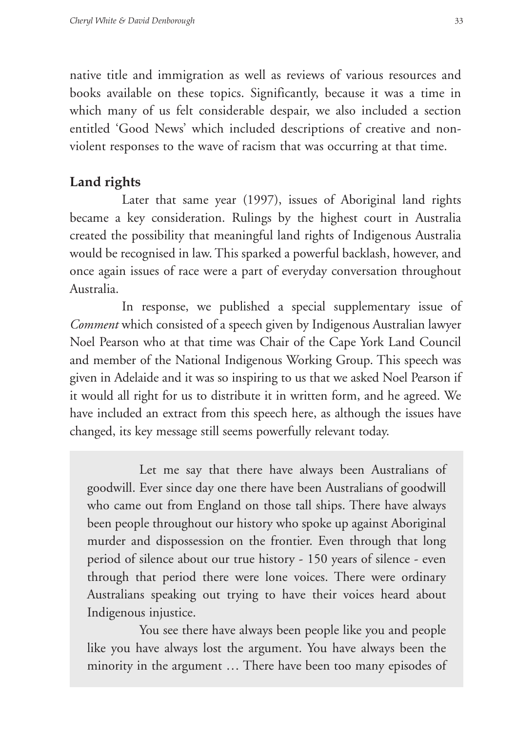native title and immigration as well as reviews of various resources and books available on these topics. Significantly, because it was a time in which many of us felt considerable despair, we also included a section entitled 'Good News' which included descriptions of creative and nonviolent responses to the wave of racism that was occurring at that time.

#### **Land rights**

Later that same year (1997), issues of Aboriginal land rights became a key consideration. Rulings by the highest court in Australia created the possibility that meaningful land rights of Indigenous Australia would be recognised in law. This sparked a powerful backlash, however, and once again issues of race were a part of everyday conversation throughout Australia.

In response, we published a special supplementary issue of *Comment* which consisted of a speech given by Indigenous Australian lawyer Noel Pearson who at that time was Chair of the Cape York Land Council and member of the National Indigenous Working Group. This speech was given in Adelaide and it was so inspiring to us that we asked Noel Pearson if it would all right for us to distribute it in written form, and he agreed. We have included an extract from this speech here, as although the issues have changed, its key message still seems powerfully relevant today.

Let me say that there have always been Australians of goodwill. Ever since day one there have been Australians of goodwill who came out from England on those tall ships. There have always been people throughout our history who spoke up against Aboriginal murder and dispossession on the frontier. Even through that long period of silence about our true history - 150 years of silence - even through that period there were lone voices. There were ordinary Australians speaking out trying to have their voices heard about Indigenous injustice.

You see there have always been people like you and people like you have always lost the argument. You have always been the minority in the argument … There have been too many episodes of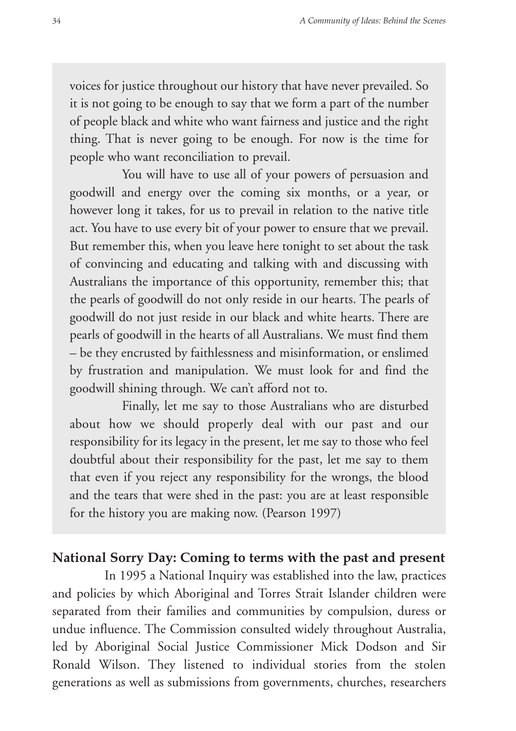voices for justice throughout our history that have never prevailed. So it is not going to be enough to say that we form a part of the number of people black and white who want fairness and justice and the right thing. That is never going to be enough. For now is the time for people who want reconciliation to prevail.

You will have to use all of your powers of persuasion and goodwill and energy over the coming six months, or a year, or however long it takes, for us to prevail in relation to the native title act. You have to use every bit of your power to ensure that we prevail. But remember this, when you leave here tonight to set about the task of convincing and educating and talking with and discussing with Australians the importance of this opportunity, remember this; that the pearls of goodwill do not only reside in our hearts. The pearls of goodwill do not just reside in our black and white hearts. There are pearls of goodwill in the hearts of all Australians. We must find them – be they encrusted by faithlessness and misinformation, or enslimed by frustration and manipulation. We must look for and find the goodwill shining through. We can't afford not to.

Finally, let me say to those Australians who are disturbed about how we should properly deal with our past and our responsibility for its legacy in the present, let me say to those who feel doubtful about their responsibility for the past, let me say to them that even if you reject any responsibility for the wrongs, the blood and the tears that were shed in the past: you are at least responsible for the history you are making now. (Pearson 1997)

#### **National Sorry Day: Coming to terms with the past and present**

In 1995 a National Inquiry was established into the law, practices and policies by which Aboriginal and Torres Strait Islander children were separated from their families and communities by compulsion, duress or undue influence. The Commission consulted widely throughout Australia, led by Aboriginal Social Justice Commissioner Mick Dodson and Sir Ronald Wilson. They listened to individual stories from the stolen generations as well as submissions from governments, churches, researchers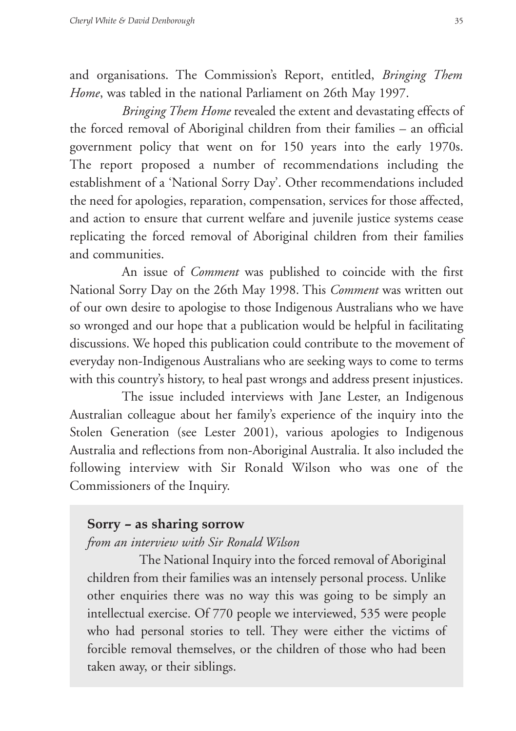and organisations. The Commission's Report, entitled, *Bringing Them Home*, was tabled in the national Parliament on 26th May 1997.

*Bringing Them Home* revealed the extent and devastating effects of the forced removal of Aboriginal children from their families – an official government policy that went on for 150 years into the early 1970s. The report proposed a number of recommendations including the establishment of a 'National Sorry Day'. Other recommendations included the need for apologies, reparation, compensation, services for those affected, and action to ensure that current welfare and juvenile justice systems cease replicating the forced removal of Aboriginal children from their families and communities.

An issue of *Comment* was published to coincide with the first National Sorry Day on the 26th May 1998. This *Comment* was written out of our own desire to apologise to those Indigenous Australians who we have so wronged and our hope that a publication would be helpful in facilitating discussions. We hoped this publication could contribute to the movement of everyday non-Indigenous Australians who are seeking ways to come to terms with this country's history, to heal past wrongs and address present injustices.

The issue included interviews with Jane Lester, an Indigenous Australian colleague about her family's experience of the inquiry into the Stolen Generation (see Lester 2001), various apologies to Indigenous Australia and reflections from non-Aboriginal Australia. It also included the following interview with Sir Ronald Wilson who was one of the Commissioners of the Inquiry.

## **Sorry – as sharing sorrow**

#### *from an interview with Sir Ronald Wilson*

The National Inquiry into the forced removal of Aboriginal children from their families was an intensely personal process. Unlike other enquiries there was no way this was going to be simply an intellectual exercise. Of 770 people we interviewed, 535 were people who had personal stories to tell. They were either the victims of forcible removal themselves, or the children of those who had been taken away, or their siblings.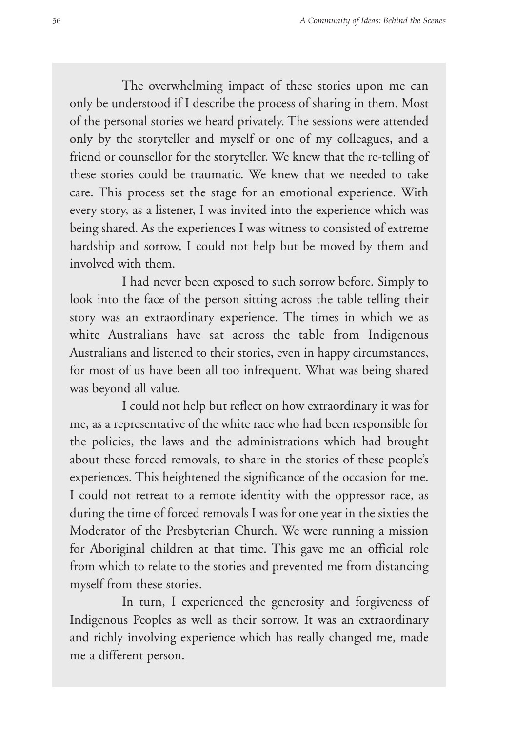The overwhelming impact of these stories upon me can only be understood if I describe the process of sharing in them. Most of the personal stories we heard privately. The sessions were attended only by the storyteller and myself or one of my colleagues, and a friend or counsellor for the storyteller. We knew that the re-telling of these stories could be traumatic. We knew that we needed to take care. This process set the stage for an emotional experience. With every story, as a listener, I was invited into the experience which was being shared. As the experiences I was witness to consisted of extreme hardship and sorrow, I could not help but be moved by them and involved with them.

I had never been exposed to such sorrow before. Simply to look into the face of the person sitting across the table telling their story was an extraordinary experience. The times in which we as white Australians have sat across the table from Indigenous Australians and listened to their stories, even in happy circumstances, for most of us have been all too infrequent. What was being shared was beyond all value.

I could not help but reflect on how extraordinary it was for me, as a representative of the white race who had been responsible for the policies, the laws and the administrations which had brought about these forced removals, to share in the stories of these people's experiences. This heightened the significance of the occasion for me. I could not retreat to a remote identity with the oppressor race, as during the time of forced removals I was for one year in the sixties the Moderator of the Presbyterian Church. We were running a mission for Aboriginal children at that time. This gave me an official role from which to relate to the stories and prevented me from distancing myself from these stories.

In turn, I experienced the generosity and forgiveness of Indigenous Peoples as well as their sorrow. It was an extraordinary and richly involving experience which has really changed me, made me a different person.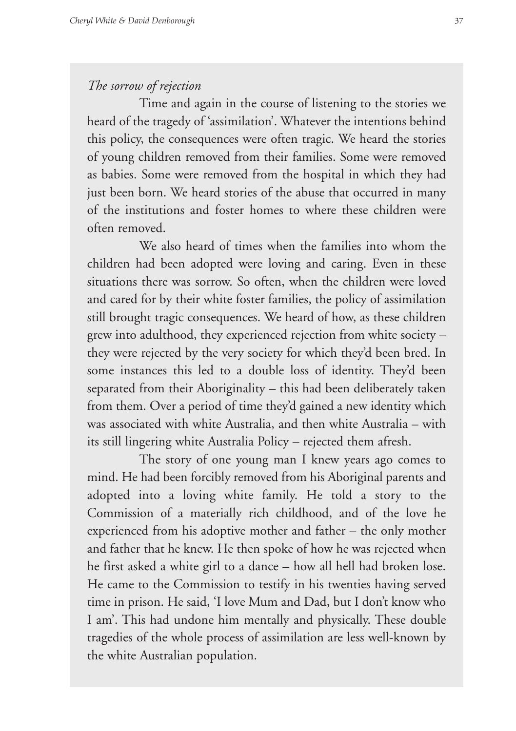#### *The sorrow of rejection*

Time and again in the course of listening to the stories we heard of the tragedy of 'assimilation'. Whatever the intentions behind this policy, the consequences were often tragic. We heard the stories of young children removed from their families. Some were removed as babies. Some were removed from the hospital in which they had just been born. We heard stories of the abuse that occurred in many of the institutions and foster homes to where these children were often removed.

We also heard of times when the families into whom the children had been adopted were loving and caring. Even in these situations there was sorrow. So often, when the children were loved and cared for by their white foster families, the policy of assimilation still brought tragic consequences. We heard of how, as these children grew into adulthood, they experienced rejection from white society – they were rejected by the very society for which they'd been bred. In some instances this led to a double loss of identity. They'd been separated from their Aboriginality – this had been deliberately taken from them. Over a period of time they'd gained a new identity which was associated with white Australia, and then white Australia – with its still lingering white Australia Policy – rejected them afresh.

The story of one young man I knew years ago comes to mind. He had been forcibly removed from his Aboriginal parents and adopted into a loving white family. He told a story to the Commission of a materially rich childhood, and of the love he experienced from his adoptive mother and father – the only mother and father that he knew. He then spoke of how he was rejected when he first asked a white girl to a dance – how all hell had broken lose. He came to the Commission to testify in his twenties having served time in prison. He said, 'I love Mum and Dad, but I don't know who I am'. This had undone him mentally and physically. These double tragedies of the whole process of assimilation are less well-known by the white Australian population.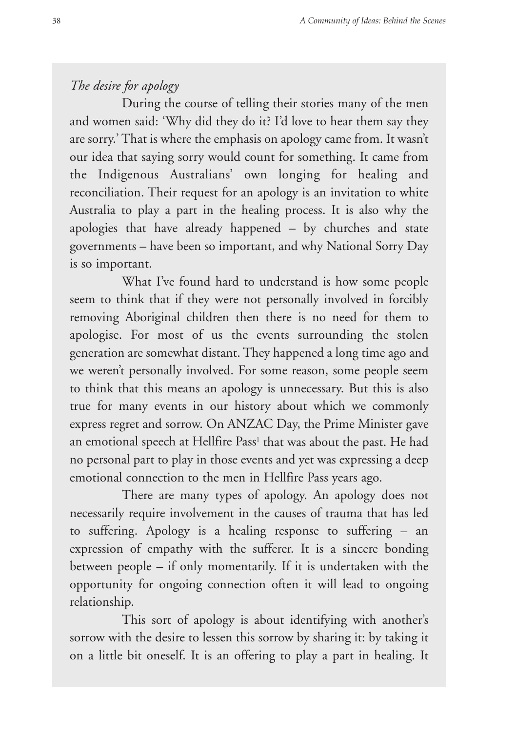## *The desire for apology*

During the course of telling their stories many of the men and women said: 'Why did they do it? I'd love to hear them say they are sorry.' That is where the emphasis on apology came from. It wasn't our idea that saying sorry would count for something. It came from the Indigenous Australians' own longing for healing and reconciliation. Their request for an apology is an invitation to white Australia to play a part in the healing process. It is also why the apologies that have already happened – by churches and state governments – have been so important, and why National Sorry Day is so important.

What I've found hard to understand is how some people seem to think that if they were not personally involved in forcibly removing Aboriginal children then there is no need for them to apologise. For most of us the events surrounding the stolen generation are somewhat distant. They happened a long time ago and we weren't personally involved. For some reason, some people seem to think that this means an apology is unnecessary. But this is also true for many events in our history about which we commonly express regret and sorrow. On ANZAC Day, the Prime Minister gave an emotional speech at Hellfire Pass<sup>1</sup> that was about the past. He had no personal part to play in those events and yet was expressing a deep emotional connection to the men in Hellfire Pass years ago.

There are many types of apology. An apology does not necessarily require involvement in the causes of trauma that has led to suffering. Apology is a healing response to suffering – an expression of empathy with the sufferer. It is a sincere bonding between people – if only momentarily. If it is undertaken with the opportunity for ongoing connection often it will lead to ongoing relationship.

This sort of apology is about identifying with another's sorrow with the desire to lessen this sorrow by sharing it: by taking it on a little bit oneself. It is an offering to play a part in healing. It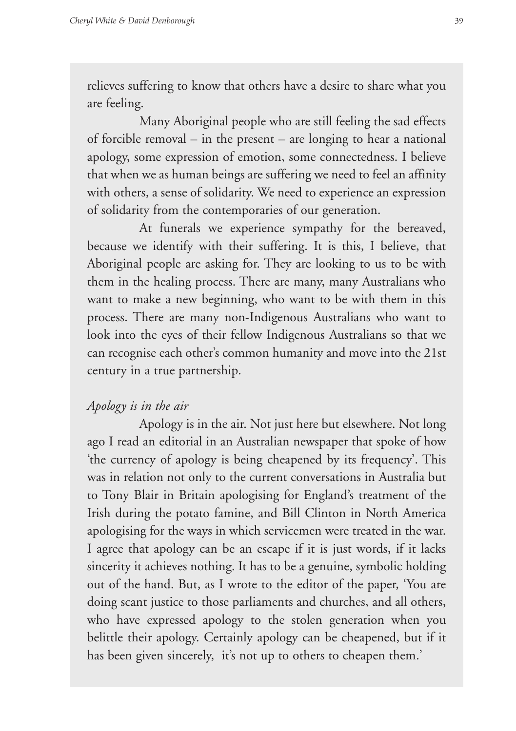relieves suffering to know that others have a desire to share what you are feeling.

Many Aboriginal people who are still feeling the sad effects of forcible removal – in the present – are longing to hear a national apology, some expression of emotion, some connectedness. I believe that when we as human beings are suffering we need to feel an affinity with others, a sense of solidarity. We need to experience an expression of solidarity from the contemporaries of our generation.

At funerals we experience sympathy for the bereaved, because we identify with their suffering. It is this, I believe, that Aboriginal people are asking for. They are looking to us to be with them in the healing process. There are many, many Australians who want to make a new beginning, who want to be with them in this process. There are many non-Indigenous Australians who want to look into the eyes of their fellow Indigenous Australians so that we can recognise each other's common humanity and move into the 21st century in a true partnership.

#### *Apology is in the air*

Apology is in the air. Not just here but elsewhere. Not long ago I read an editorial in an Australian newspaper that spoke of how 'the currency of apology is being cheapened by its frequency'. This was in relation not only to the current conversations in Australia but to Tony Blair in Britain apologising for England's treatment of the Irish during the potato famine, and Bill Clinton in North America apologising for the ways in which servicemen were treated in the war. I agree that apology can be an escape if it is just words, if it lacks sincerity it achieves nothing. It has to be a genuine, symbolic holding out of the hand. But, as I wrote to the editor of the paper, 'You are doing scant justice to those parliaments and churches, and all others, who have expressed apology to the stolen generation when you belittle their apology. Certainly apology can be cheapened, but if it has been given sincerely, it's not up to others to cheapen them.'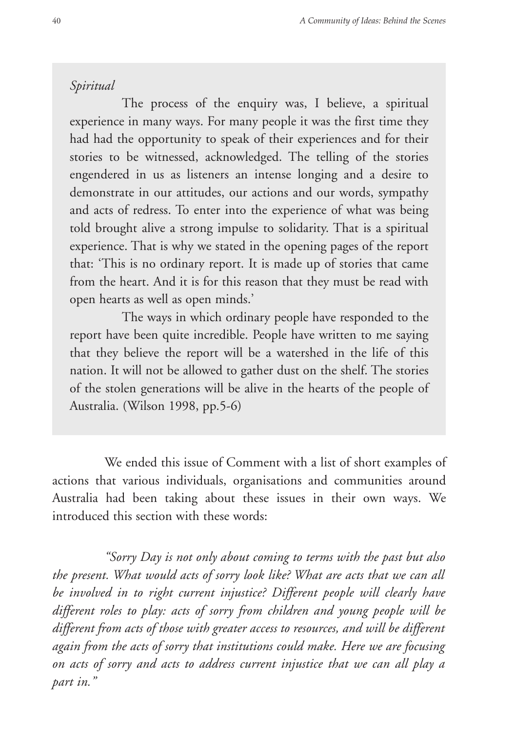#### *Spiritual*

The process of the enquiry was, I believe, a spiritual experience in many ways. For many people it was the first time they had had the opportunity to speak of their experiences and for their stories to be witnessed, acknowledged. The telling of the stories engendered in us as listeners an intense longing and a desire to demonstrate in our attitudes, our actions and our words, sympathy and acts of redress. To enter into the experience of what was being told brought alive a strong impulse to solidarity. That is a spiritual experience. That is why we stated in the opening pages of the report that: 'This is no ordinary report. It is made up of stories that came from the heart. And it is for this reason that they must be read with open hearts as well as open minds.'

The ways in which ordinary people have responded to the report have been quite incredible. People have written to me saying that they believe the report will be a watershed in the life of this nation. It will not be allowed to gather dust on the shelf. The stories of the stolen generations will be alive in the hearts of the people of Australia. (Wilson 1998, pp.5-6)

We ended this issue of Comment with a list of short examples of actions that various individuals, organisations and communities around Australia had been taking about these issues in their own ways. We introduced this section with these words:

*"Sorry Day is not only about coming to terms with the past but also the present. What would acts of sorry look like? What are acts that we can all be involved in to right current injustice? Different people will clearly have different roles to play: acts of sorry from children and young people will be different from acts of those with greater access to resources, and will be different again from the acts of sorry that institutions could make. Here we are focusing on acts of sorry and acts to address current injustice that we can all play a part in."*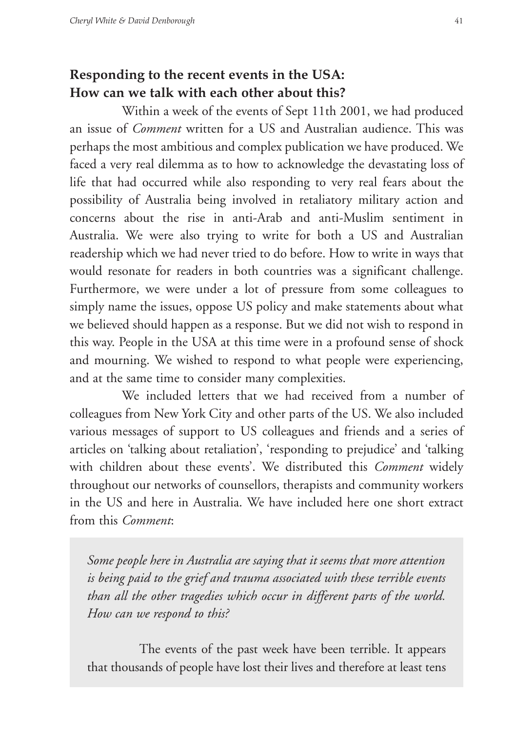# **Responding to the recent events in the USA: How can we talk with each other about this?**

Within a week of the events of Sept 11th 2001, we had produced an issue of *Comment* written for a US and Australian audience. This was perhaps the most ambitious and complex publication we have produced. We faced a very real dilemma as to how to acknowledge the devastating loss of life that had occurred while also responding to very real fears about the possibility of Australia being involved in retaliatory military action and concerns about the rise in anti-Arab and anti-Muslim sentiment in Australia. We were also trying to write for both a US and Australian readership which we had never tried to do before. How to write in ways that would resonate for readers in both countries was a significant challenge. Furthermore, we were under a lot of pressure from some colleagues to simply name the issues, oppose US policy and make statements about what we believed should happen as a response. But we did not wish to respond in this way. People in the USA at this time were in a profound sense of shock and mourning. We wished to respond to what people were experiencing, and at the same time to consider many complexities.

We included letters that we had received from a number of colleagues from New York City and other parts of the US. We also included various messages of support to US colleagues and friends and a series of articles on 'talking about retaliation', 'responding to prejudice' and 'talking with children about these events'. We distributed this *Comment* widely throughout our networks of counsellors, therapists and community workers in the US and here in Australia. We have included here one short extract from this *Comment*:

*Some people here in Australia are saying that it seems that more attention is being paid to the grief and trauma associated with these terrible events than all the other tragedies which occur in different parts of the world. How can we respond to this?* 

The events of the past week have been terrible. It appears that thousands of people have lost their lives and therefore at least tens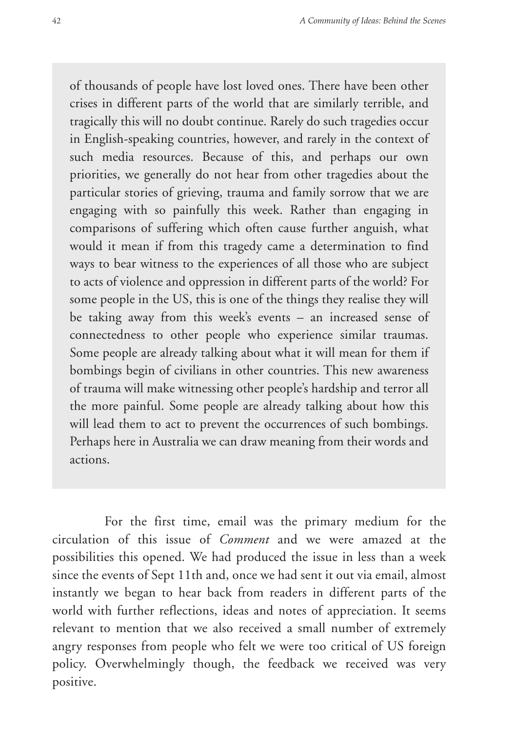of thousands of people have lost loved ones. There have been other crises in different parts of the world that are similarly terrible, and tragically this will no doubt continue. Rarely do such tragedies occur in English-speaking countries, however, and rarely in the context of such media resources. Because of this, and perhaps our own priorities, we generally do not hear from other tragedies about the particular stories of grieving, trauma and family sorrow that we are engaging with so painfully this week. Rather than engaging in comparisons of suffering which often cause further anguish, what would it mean if from this tragedy came a determination to find ways to bear witness to the experiences of all those who are subject to acts of violence and oppression in different parts of the world? For some people in the US, this is one of the things they realise they will be taking away from this week's events – an increased sense of connectedness to other people who experience similar traumas. Some people are already talking about what it will mean for them if bombings begin of civilians in other countries. This new awareness of trauma will make witnessing other people's hardship and terror all the more painful. Some people are already talking about how this will lead them to act to prevent the occurrences of such bombings. Perhaps here in Australia we can draw meaning from their words and actions.

For the first time, email was the primary medium for the circulation of this issue of *Comment* and we were amazed at the possibilities this opened. We had produced the issue in less than a week since the events of Sept 11th and, once we had sent it out via email, almost instantly we began to hear back from readers in different parts of the world with further reflections, ideas and notes of appreciation. It seems relevant to mention that we also received a small number of extremely angry responses from people who felt we were too critical of US foreign policy. Overwhelmingly though, the feedback we received was very positive.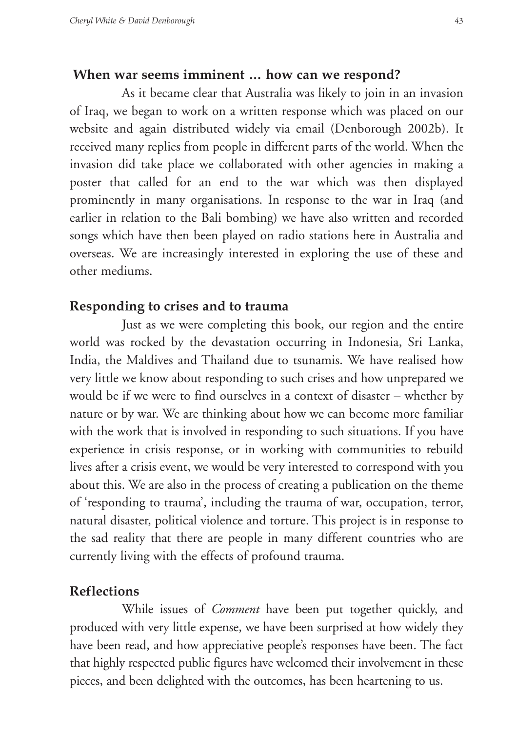#### **When war seems imminent … how can we respond?**

As it became clear that Australia was likely to join in an invasion of Iraq, we began to work on a written response which was placed on our website and again distributed widely via email (Denborough 2002b). It received many replies from people in different parts of the world. When the invasion did take place we collaborated with other agencies in making a poster that called for an end to the war which was then displayed prominently in many organisations. In response to the war in Iraq (and earlier in relation to the Bali bombing) we have also written and recorded songs which have then been played on radio stations here in Australia and overseas. We are increasingly interested in exploring the use of these and other mediums.

#### **Responding to crises and to trauma**

Just as we were completing this book, our region and the entire world was rocked by the devastation occurring in Indonesia, Sri Lanka, India, the Maldives and Thailand due to tsunamis. We have realised how very little we know about responding to such crises and how unprepared we would be if we were to find ourselves in a context of disaster – whether by nature or by war. We are thinking about how we can become more familiar with the work that is involved in responding to such situations. If you have experience in crisis response, or in working with communities to rebuild lives after a crisis event, we would be very interested to correspond with you about this. We are also in the process of creating a publication on the theme of 'responding to trauma', including the trauma of war, occupation, terror, natural disaster, political violence and torture. This project is in response to the sad reality that there are people in many different countries who are currently living with the effects of profound trauma.

#### **Reflections**

While issues of *Comment* have been put together quickly, and produced with very little expense, we have been surprised at how widely they have been read, and how appreciative people's responses have been. The fact that highly respected public figures have welcomed their involvement in these pieces, and been delighted with the outcomes, has been heartening to us.